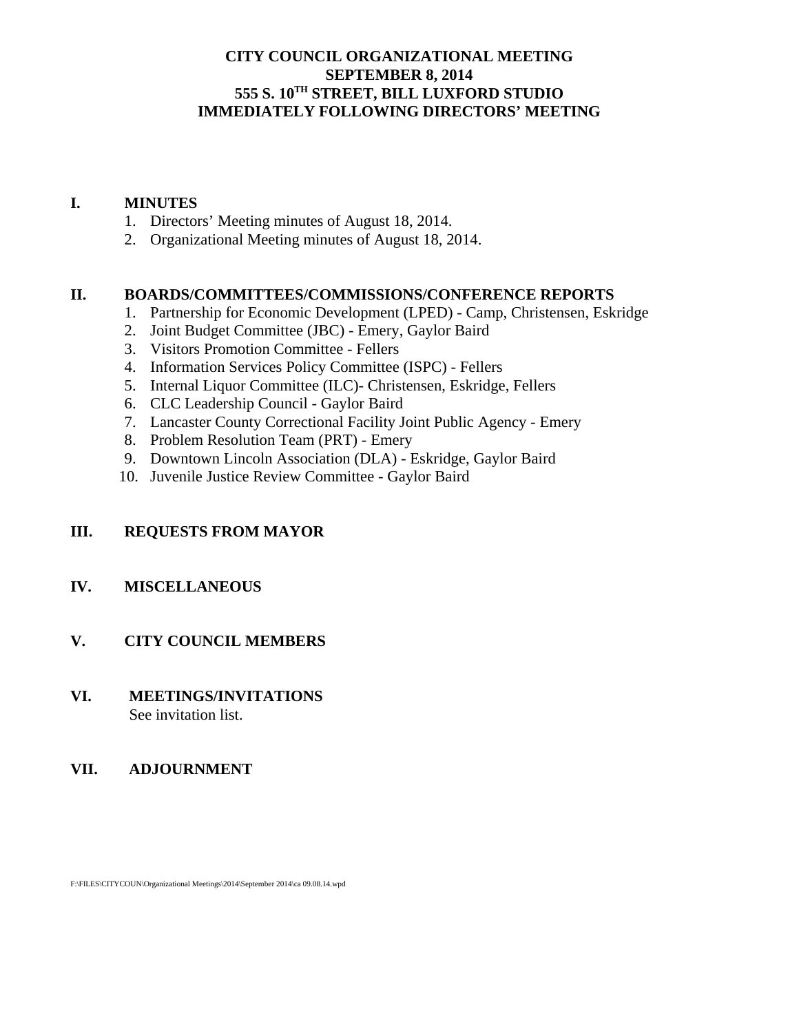### **CITY COUNCIL ORGANIZATIONAL MEETING SEPTEMBER 8, 2014 555 S. 10TH STREET, BILL LUXFORD STUDIO IMMEDIATELY FOLLOWING DIRECTORS' MEETING**

#### **I. MINUTES**

- 1. Directors' Meeting minutes of August 18, 2014.
- 2. Organizational Meeting minutes of August 18, 2014.

# **II. BOARDS/COMMITTEES/COMMISSIONS/CONFERENCE REPORTS**

- 1. Partnership for Economic Development (LPED) Camp, Christensen, Eskridge
- 2. Joint Budget Committee (JBC) Emery, Gaylor Baird
- 3. Visitors Promotion Committee Fellers
- 4. Information Services Policy Committee (ISPC) Fellers
- 5. Internal Liquor Committee (ILC)- Christensen, Eskridge, Fellers
- 6. CLC Leadership Council Gaylor Baird
- 7. Lancaster County Correctional Facility Joint Public Agency Emery
- 8. Problem Resolution Team (PRT) Emery
- 9. Downtown Lincoln Association (DLA) Eskridge, Gaylor Baird
- 10. Juvenile Justice Review Committee Gaylor Baird

# **III. REQUESTS FROM MAYOR**

# **IV. MISCELLANEOUS**

# **V. CITY COUNCIL MEMBERS**

**VI. MEETINGS/INVITATIONS** See invitation list.

# **VII. ADJOURNMENT**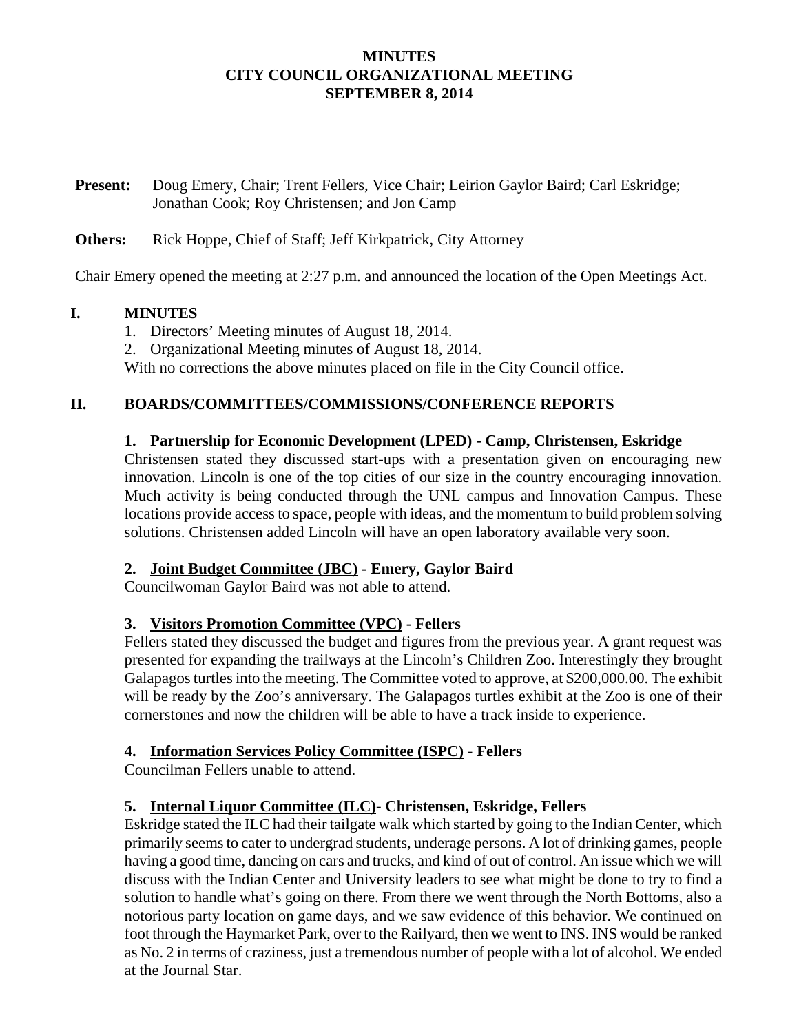#### **MINUTES CITY COUNCIL ORGANIZATIONAL MEETING SEPTEMBER 8, 2014**

**Present:** Doug Emery, Chair; Trent Fellers, Vice Chair; Leirion Gaylor Baird; Carl Eskridge; Jonathan Cook; Roy Christensen; and Jon Camp

#### **Others:** Rick Hoppe, Chief of Staff; Jeff Kirkpatrick, City Attorney

Chair Emery opened the meeting at 2:27 p.m. and announced the location of the Open Meetings Act.

#### **I. MINUTES**

- 1. Directors' Meeting minutes of August 18, 2014.
- 2. Organizational Meeting minutes of August 18, 2014.

With no corrections the above minutes placed on file in the City Council office.

#### **II. BOARDS/COMMITTEES/COMMISSIONS/CONFERENCE REPORTS**

#### **1. Partnership for Economic Development (LPED) - Camp, Christensen, Eskridge**

Christensen stated they discussed start-ups with a presentation given on encouraging new innovation. Lincoln is one of the top cities of our size in the country encouraging innovation. Much activity is being conducted through the UNL campus and Innovation Campus. These locations provide access to space, people with ideas, and the momentum to build problem solving solutions. Christensen added Lincoln will have an open laboratory available very soon.

#### **2. Joint Budget Committee (JBC) - Emery, Gaylor Baird**

Councilwoman Gaylor Baird was not able to attend.

### **3. Visitors Promotion Committee (VPC) - Fellers**

Fellers stated they discussed the budget and figures from the previous year. A grant request was presented for expanding the trailways at the Lincoln's Children Zoo. Interestingly they brought Galapagos turtles into the meeting. The Committee voted to approve, at \$200,000.00. The exhibit will be ready by the Zoo's anniversary. The Galapagos turtles exhibit at the Zoo is one of their cornerstones and now the children will be able to have a track inside to experience.

### **4. Information Services Policy Committee (ISPC) - Fellers**

Councilman Fellers unable to attend.

### **5. Internal Liquor Committee (ILC)- Christensen, Eskridge, Fellers**

Eskridge stated the ILC had their tailgate walk which started by going to the Indian Center, which primarily seems to cater to undergrad students, underage persons. A lot of drinking games, people having a good time, dancing on cars and trucks, and kind of out of control. An issue which we will discuss with the Indian Center and University leaders to see what might be done to try to find a solution to handle what's going on there. From there we went through the North Bottoms, also a notorious party location on game days, and we saw evidence of this behavior. We continued on foot through the Haymarket Park, over to the Railyard, then we went to INS. INS would be ranked as No. 2 in terms of craziness, just a tremendous number of people with a lot of alcohol. We ended at the Journal Star.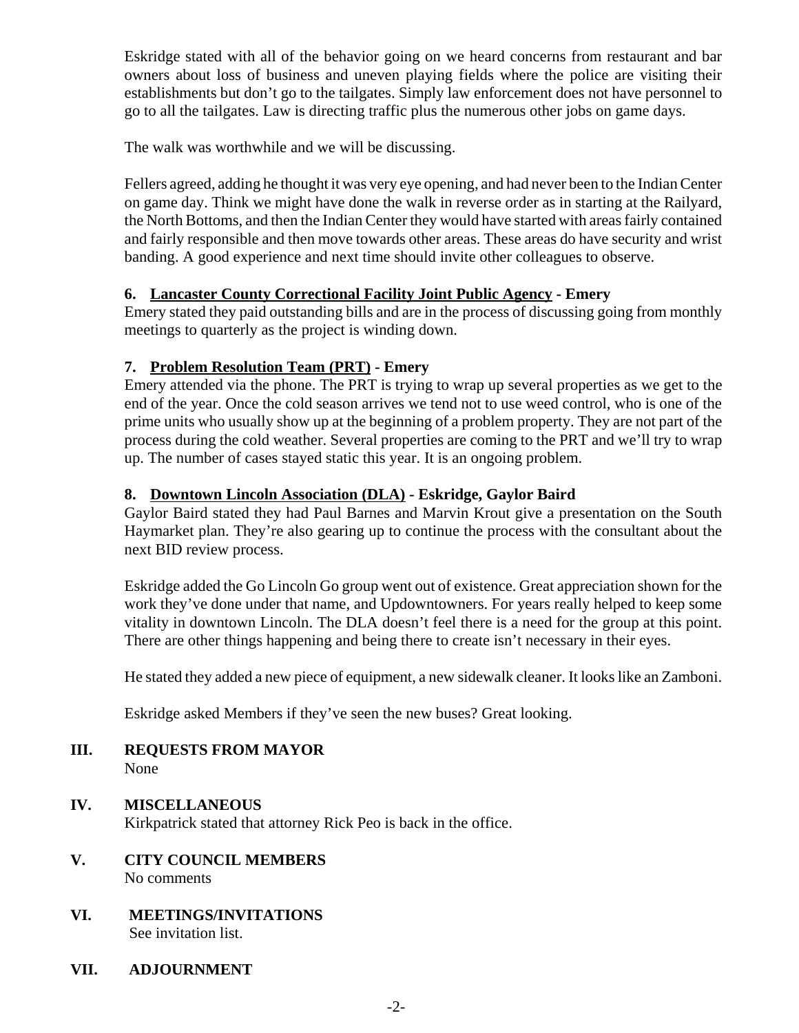Eskridge stated with all of the behavior going on we heard concerns from restaurant and bar owners about loss of business and uneven playing fields where the police are visiting their establishments but don't go to the tailgates. Simply law enforcement does not have personnel to go to all the tailgates. Law is directing traffic plus the numerous other jobs on game days.

The walk was worthwhile and we will be discussing.

Fellers agreed, adding he thought it was very eye opening, and had never been to the Indian Center on game day. Think we might have done the walk in reverse order as in starting at the Railyard, the North Bottoms, and then the Indian Center they would have started with areas fairly contained and fairly responsible and then move towards other areas. These areas do have security and wrist banding. A good experience and next time should invite other colleagues to observe.

# **6. Lancaster County Correctional Facility Joint Public Agency - Emery**

Emery stated they paid outstanding bills and are in the process of discussing going from monthly meetings to quarterly as the project is winding down.

# **7. Problem Resolution Team (PRT) - Emery**

Emery attended via the phone. The PRT is trying to wrap up several properties as we get to the end of the year. Once the cold season arrives we tend not to use weed control, who is one of the prime units who usually show up at the beginning of a problem property. They are not part of the process during the cold weather. Several properties are coming to the PRT and we'll try to wrap up. The number of cases stayed static this year. It is an ongoing problem.

## **8. Downtown Lincoln Association (DLA) - Eskridge, Gaylor Baird**

Gaylor Baird stated they had Paul Barnes and Marvin Krout give a presentation on the South Haymarket plan. They're also gearing up to continue the process with the consultant about the next BID review process.

Eskridge added the Go Lincoln Go group went out of existence. Great appreciation shown for the work they've done under that name, and Updowntowners. For years really helped to keep some vitality in downtown Lincoln. The DLA doesn't feel there is a need for the group at this point. There are other things happening and being there to create isn't necessary in their eyes.

He stated they added a new piece of equipment, a new sidewalk cleaner. It looks like an Zamboni.

Eskridge asked Members if they've seen the new buses? Great looking.

- **III. REQUESTS FROM MAYOR** None
- **IV. MISCELLANEOUS** Kirkpatrick stated that attorney Rick Peo is back in the office.
- **V. CITY COUNCIL MEMBERS** No comments
- **VI. MEETINGS/INVITATIONS** See invitation list.
- **VII. ADJOURNMENT**